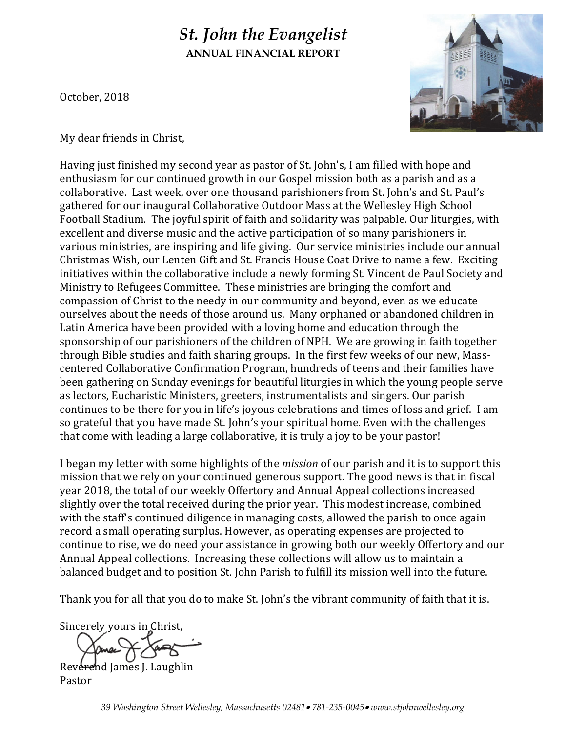# *St. John the Evangelist*  **ANNUAL FINANCIAL REPORT**

October, 2018



My dear friends in Christ,

Having just finished my second year as pastor of St. John's, I am filled with hope and enthusiasm for our continued growth in our Gospel mission both as a parish and as a collaborative. Last week, over one thousand parishioners from St. John's and St. Paul's gathered for our inaugural Collaborative Outdoor Mass at the Wellesley High School Football Stadium. The joyful spirit of faith and solidarity was palpable. Our liturgies, with excellent and diverse music and the active participation of so many parishioners in various ministries, are inspiring and life giving. Our service ministries include our annual Christmas Wish, our Lenten Gift and St. Francis House Coat Drive to name a few. Exciting initiatives within the collaborative include a newly forming St. Vincent de Paul Society and Ministry to Refugees Committee. These ministries are bringing the comfort and compassion of Christ to the needy in our community and beyond, even as we educate ourselves about the needs of those around us. Many orphaned or abandoned children in Latin America have been provided with a loving home and education through the sponsorship of our parishioners of the children of NPH. We are growing in faith together through Bible studies and faith sharing groups. In the first few weeks of our new, Masscentered Collaborative Confirmation Program, hundreds of teens and their families have been gathering on Sunday evenings for beautiful liturgies in which the young people serve as lectors, Eucharistic Ministers, greeters, instrumentalists and singers. Our parish continues to be there for you in life's joyous celebrations and times of loss and grief. I am so grateful that you have made St. John's your spiritual home. Even with the challenges that come with leading a large collaborative, it is truly a joy to be your pastor!

I began my letter with some highlights of the *mission* of our parish and it is to support this mission that we rely on your continued generous support. The good news is that in fiscal year 2018, the total of our weekly Offertory and Annual Appeal collections increased slightly over the total received during the prior year. This modest increase, combined with the staff's continued diligence in managing costs, allowed the parish to once again record a small operating surplus. However, as operating expenses are projected to continue to rise, we do need your assistance in growing both our weekly Offertory and our Annual Appeal collections. Increasing these collections will allow us to maintain a balanced budget and to position St. John Parish to fulfill its mission well into the future.

Thank you for all that you do to make St. John's the vibrant community of faith that it is.

Sincerely yours in Christ,

Reverend James J. Laughlin

Pastor

*39 Washington Street Wellesley, Massachusetts 02481 781-235-0045 www.stjohnwellesley.org*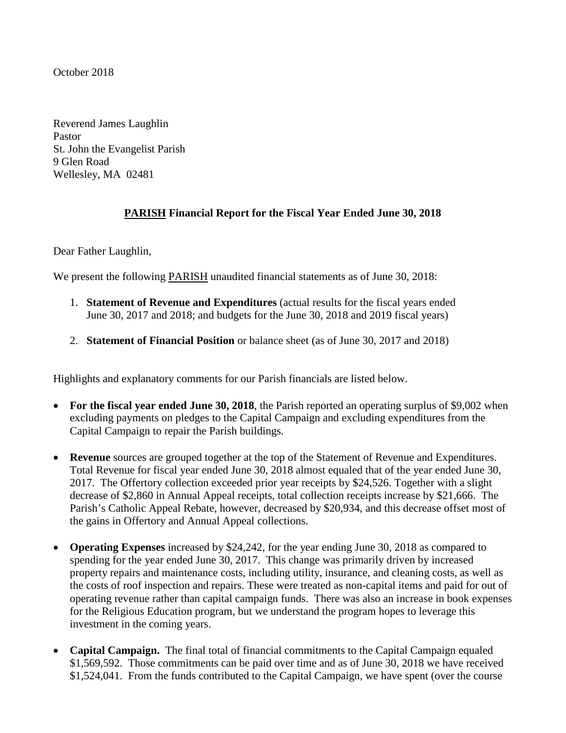#### October 2018

Reverend James Laughlin Pastor St. John the Evangelist Parish 9 Glen Road Wellesley, MA 02481

# **PARISH Financial Report for the Fiscal Year Ended June 30, 2018**

Dear Father Laughlin,

We present the following **PARISH** unaudited financial statements as of June 30, 2018:

- 1. **Statement of Revenue and Expenditures** (actual results for the fiscal years ended June 30, 2017 and 2018; and budgets for the June 30, 2018 and 2019 fiscal years)
- 2. **Statement of Financial Position** or balance sheet (as of June 30, 2017 and 2018)

Highlights and explanatory comments for our Parish financials are listed below.

- **For the fiscal year ended June 30, 2018**, the Parish reported an operating surplus of \$9,002 when excluding payments on pledges to the Capital Campaign and excluding expenditures from the Capital Campaign to repair the Parish buildings.
- **Revenue** sources are grouped together at the top of the Statement of Revenue and Expenditures. Total Revenue for fiscal year ended June 30, 2018 almost equaled that of the year ended June 30, 2017. The Offertory collection exceeded prior year receipts by \$24,526. Together with a slight decrease of \$2,860 in Annual Appeal receipts, total collection receipts increase by \$21,666. The Parish's Catholic Appeal Rebate, however, decreased by \$20,934, and this decrease offset most of the gains in Offertory and Annual Appeal collections.
- **Operating Expenses** increased by \$24,242, for the year ending June 30, 2018 as compared to spending for the year ended June 30, 2017. This change was primarily driven by increased property repairs and maintenance costs, including utility, insurance, and cleaning costs, as well as the costs of roof inspection and repairs. These were treated as non-capital items and paid for out of operating revenue rather than capital campaign funds. There was also an increase in book expenses for the Religious Education program, but we understand the program hopes to leverage this investment in the coming years.
- **Capital Campaign.** The final total of financial commitments to the Capital Campaign equaled \$1,569,592. Those commitments can be paid over time and as of June 30, 2018 we have received \$1,524,041. From the funds contributed to the Capital Campaign, we have spent (over the course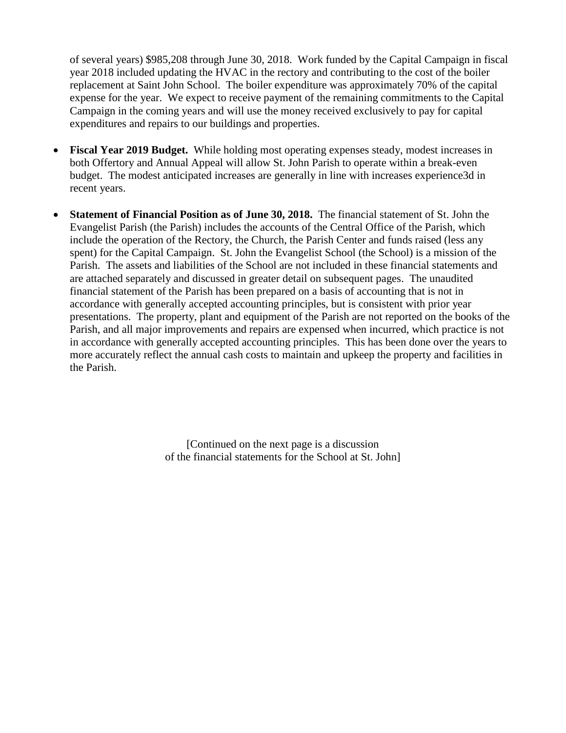of several years) \$985,208 through June 30, 2018. Work funded by the Capital Campaign in fiscal year 2018 included updating the HVAC in the rectory and contributing to the cost of the boiler replacement at Saint John School. The boiler expenditure was approximately 70% of the capital expense for the year. We expect to receive payment of the remaining commitments to the Capital Campaign in the coming years and will use the money received exclusively to pay for capital expenditures and repairs to our buildings and properties.

- **Fiscal Year 2019 Budget.** While holding most operating expenses steady, modest increases in both Offertory and Annual Appeal will allow St. John Parish to operate within a break-even budget. The modest anticipated increases are generally in line with increases experience3d in recent years.
- **Statement of Financial Position as of June 30, 2018.** The financial statement of St. John the Evangelist Parish (the Parish) includes the accounts of the Central Office of the Parish, which include the operation of the Rectory, the Church, the Parish Center and funds raised (less any spent) for the Capital Campaign. St. John the Evangelist School (the School) is a mission of the Parish. The assets and liabilities of the School are not included in these financial statements and are attached separately and discussed in greater detail on subsequent pages. The unaudited financial statement of the Parish has been prepared on a basis of accounting that is not in accordance with generally accepted accounting principles, but is consistent with prior year presentations. The property, plant and equipment of the Parish are not reported on the books of the Parish, and all major improvements and repairs are expensed when incurred, which practice is not in accordance with generally accepted accounting principles. This has been done over the years to more accurately reflect the annual cash costs to maintain and upkeep the property and facilities in the Parish.

[Continued on the next page is a discussion of the financial statements for the School at St. John]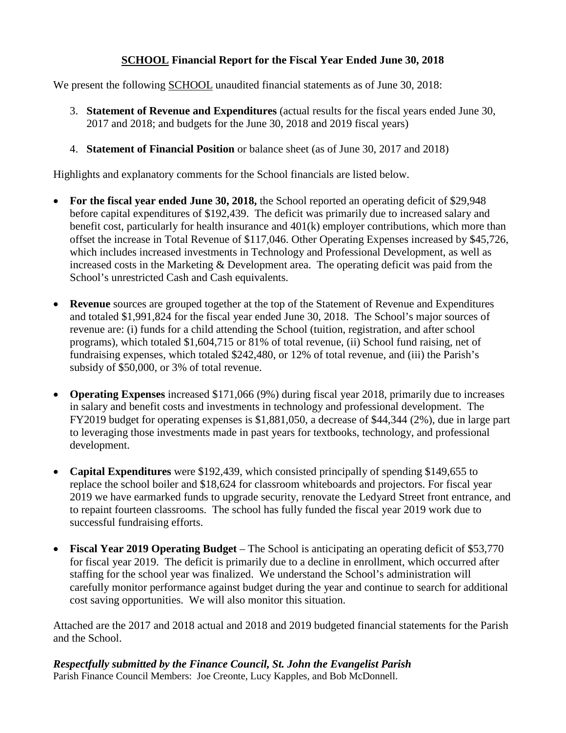## **SCHOOL Financial Report for the Fiscal Year Ended June 30, 2018**

We present the following SCHOOL unaudited financial statements as of June 30, 2018:

- 3. **Statement of Revenue and Expenditures** (actual results for the fiscal years ended June 30, 2017 and 2018; and budgets for the June 30, 2018 and 2019 fiscal years)
- 4. **Statement of Financial Position** or balance sheet (as of June 30, 2017 and 2018)

Highlights and explanatory comments for the School financials are listed below.

- For the fiscal year ended June 30, 2018, the School reported an operating deficit of \$29,948 before capital expenditures of \$192,439. The deficit was primarily due to increased salary and benefit cost, particularly for health insurance and 401(k) employer contributions, which more than offset the increase in Total Revenue of \$117,046. Other Operating Expenses increased by \$45,726, which includes increased investments in Technology and Professional Development, as well as increased costs in the Marketing & Development area. The operating deficit was paid from the School's unrestricted Cash and Cash equivalents.
- **Revenue** sources are grouped together at the top of the Statement of Revenue and Expenditures and totaled \$1,991,824 for the fiscal year ended June 30, 2018. The School's major sources of revenue are: (i) funds for a child attending the School (tuition, registration, and after school programs), which totaled \$1,604,715 or 81% of total revenue, (ii) School fund raising, net of fundraising expenses, which totaled \$242,480, or 12% of total revenue, and (iii) the Parish's subsidy of \$50,000, or 3% of total revenue.
- **Operating Expenses** increased \$171,066 (9%) during fiscal year 2018, primarily due to increases in salary and benefit costs and investments in technology and professional development. The FY2019 budget for operating expenses is \$1,881,050, a decrease of \$44,344 (2%), due in large part to leveraging those investments made in past years for textbooks, technology, and professional development.
- **Capital Expenditures** were \$192,439, which consisted principally of spending \$149,655 to replace the school boiler and \$18,624 for classroom whiteboards and projectors. For fiscal year 2019 we have earmarked funds to upgrade security, renovate the Ledyard Street front entrance, and to repaint fourteen classrooms. The school has fully funded the fiscal year 2019 work due to successful fundraising efforts.
- **Fiscal Year 2019 Operating Budget** The School is anticipating an operating deficit of \$53,770 for fiscal year 2019. The deficit is primarily due to a decline in enrollment, which occurred after staffing for the school year was finalized. We understand the School's administration will carefully monitor performance against budget during the year and continue to search for additional cost saving opportunities. We will also monitor this situation.

Attached are the 2017 and 2018 actual and 2018 and 2019 budgeted financial statements for the Parish and the School.

*Respectfully submitted by the Finance Council, St. John the Evangelist Parish* Parish Finance Council Members: Joe Creonte, Lucy Kapples, and Bob McDonnell.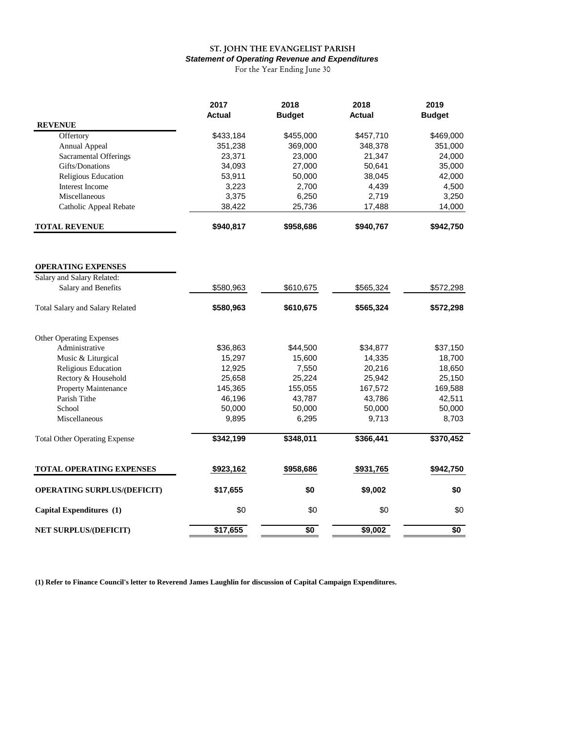# ST. JOHN THE EVANGELIST PARISH *Statement of Operating Revenue and Expenditures*

For the Year Ending June 30

|                                      | 2017<br>Actual | 2018<br><b>Budget</b> | 2018<br><b>Actual</b> | 2019<br><b>Budget</b> |
|--------------------------------------|----------------|-----------------------|-----------------------|-----------------------|
| <b>REVENUE</b>                       |                |                       |                       |                       |
| Offertory                            | \$433,184      | \$455,000             | \$457,710             | \$469,000             |
| Annual Appeal                        | 351,238        | 369,000               | 348,378               | 351,000               |
| <b>Sacramental Offerings</b>         | 23,371         | 23,000                | 21,347                | 24,000                |
| Gifts/Donations                      | 34,093         | 27,000                | 50,641                | 35,000                |
| Religious Education                  | 53,911         | 50,000                | 38,045                | 42,000                |
| Interest Income                      | 3,223          | 2,700                 | 4,439                 | 4,500                 |
| Miscellaneous                        | 3,375          | 6,250                 | 2,719                 | 3,250                 |
| Catholic Appeal Rebate               | 38,422         | 25,736                | 17,488                | 14,000                |
| <b>TOTAL REVENUE</b>                 | \$940,817      | \$958,686             | \$940,767             | \$942,750             |
|                                      |                |                       |                       |                       |
| <b>OPERATING EXPENSES</b>            |                |                       |                       |                       |
| Salary and Salary Related:           |                |                       |                       |                       |
| Salary and Benefits                  | \$580,963      | \$610,675             | \$565,324             | \$572,298             |
| Total Salary and Salary Related      | \$580,963      | \$610,675             | \$565,324             | \$572,298             |
| <b>Other Operating Expenses</b>      |                |                       |                       |                       |
| Administrative                       | \$36,863       | \$44,500              | \$34,877              | \$37,150              |
| Music & Liturgical                   | 15,297         | 15,600                | 14,335                | 18,700                |
| Religious Education                  | 12,925         | 7,550                 | 20,216                | 18,650                |
| Rectory & Household                  | 25,658         | 25,224                | 25,942                | 25,150                |
| Property Maintenance                 | 145,365        | 155,055               | 167,572               | 169,588               |
| Parish Tithe                         | 46,196         | 43,787                | 43,786                | 42,511                |
| School                               | 50,000         | 50,000                | 50,000                | 50,000                |
| Miscellaneous                        | 9,895          | 6,295                 | 9,713                 | 8,703                 |
| <b>Total Other Operating Expense</b> | \$342,199      | \$348,011             | \$366,441             | \$370,452             |
|                                      |                |                       |                       |                       |
| TOTAL OPERATING EXPENSES             | \$923,162      | \$958,686             | \$931,765             | \$942,750             |
| <b>OPERATING SURPLUS/(DEFICIT)</b>   | \$17,655       | \$0                   | \$9,002               | \$0                   |
| Capital Expenditures (1)             | \$0            | \$0                   | \$0                   | \$0                   |
| NET SURPLUS/(DEFICIT)                | \$17,655       | \$0                   | \$9,002               | \$0                   |
|                                      |                |                       |                       |                       |

**(1) Refer to Finance Council's letter to Reverend James Laughlin for discussion of Capital Campaign Expenditures.**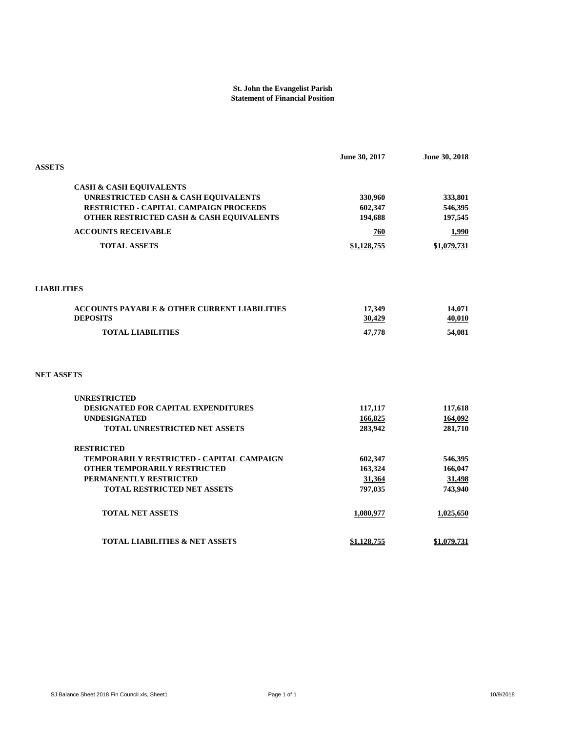#### **St. John the Evangelist Parish Statement of Financial Position**

|                                                         | June 30, 2017 | June 30, 2018 |
|---------------------------------------------------------|---------------|---------------|
| <b>ASSETS</b>                                           |               |               |
| <b>CASH &amp; CASH EQUIVALENTS</b>                      |               |               |
| UNRESTRICTED CASH & CASH EQUIVALENTS                    | 330,960       | 333,801       |
| RESTRICTED - CAPITAL CAMPAIGN PROCEEDS                  | 602,347       | 546,395       |
| OTHER RESTRICTED CASH & CASH EQUIVALENTS                | 194,688       | 197,545       |
| <b>ACCOUNTS RECEIVABLE</b>                              | 760           | <b>1,990</b>  |
| <b>TOTAL ASSETS</b>                                     | \$1,128,755   | \$1,079,731   |
|                                                         |               |               |
| <b>LIABILITIES</b>                                      |               |               |
| <b>ACCOUNTS PAYABLE &amp; OTHER CURRENT LIABILITIES</b> | 17,349        | 14,071        |
| <b>DEPOSITS</b>                                         | 30,429        | 40,010        |
| <b>TOTAL LIABILITIES</b>                                | 47,778        | 54,081        |
| <b>NET ASSETS</b>                                       |               |               |
| <b>UNRESTRICTED</b>                                     |               |               |
| DESIGNATED FOR CAPITAL EXPENDITURES                     | 117,117       | 117,618       |
| <b>UNDESIGNATED</b>                                     | 166,825       | 164,092       |
| TOTAL UNRESTRICTED NET ASSETS                           | 283,942       | 281,710       |
| <b>RESTRICTED</b>                                       |               |               |
| TEMPORARILY RESTRICTED - CAPITAL CAMPAIGN               | 602,347       | 546,395       |
| OTHER TEMPORARILY RESTRICTED                            | 163,324       | 166,047       |
| PERMANENTLY RESTRICTED                                  | 31,364        | 31,498        |
| <b>TOTAL RESTRICTED NET ASSETS</b>                      | 797,035       | 743,940       |
| <b>TOTAL NET ASSETS</b>                                 | 1,080,977     | 1,025,650     |
| <b>TOTAL LIABILITIES &amp; NET ASSETS</b>               | \$1,128,755   | \$1,079,731   |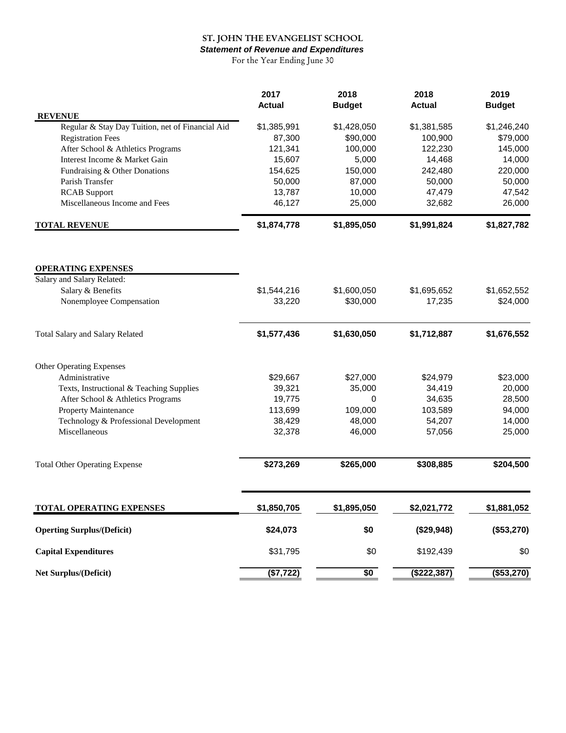# ST. JOHN THE EVANGELIST SCHOOL

*Statement of Revenue and Expenditures*

For the Year Ending June 30

|                                                  | 2017          | 2018          | 2018          | 2019          |
|--------------------------------------------------|---------------|---------------|---------------|---------------|
| <b>REVENUE</b>                                   | <b>Actual</b> | <b>Budget</b> | <b>Actual</b> | <b>Budget</b> |
| Regular & Stay Day Tuition, net of Financial Aid | \$1,385,991   | \$1,428,050   | \$1,381,585   | \$1,246,240   |
| <b>Registration Fees</b>                         | 87,300        | \$90,000      | 100,900       | \$79,000      |
| After School & Athletics Programs                | 121,341       | 100,000       | 122,230       | 145,000       |
| Interest Income & Market Gain                    | 15,607        | 5,000         | 14,468        | 14,000        |
| Fundraising & Other Donations                    | 154,625       | 150,000       | 242,480       | 220,000       |
| Parish Transfer                                  | 50,000        | 87,000        | 50,000        | 50,000        |
| <b>RCAB</b> Support                              | 13,787        | 10,000        | 47,479        | 47,542        |
| Miscellaneous Income and Fees                    | 46,127        | 25,000        | 32,682        | 26,000        |
| <b>TOTAL REVENUE</b>                             | \$1,874,778   | \$1,895,050   | \$1,991,824   | \$1,827,782   |
|                                                  |               |               |               |               |
| <b>OPERATING EXPENSES</b>                        |               |               |               |               |
| Salary and Salary Related:                       |               |               |               |               |
| Salary & Benefits                                | \$1,544,216   | \$1,600,050   | \$1,695,652   | \$1,652,552   |
| Nonemployee Compensation                         | 33,220        | \$30,000      | 17,235        | \$24,000      |
| <b>Total Salary and Salary Related</b>           | \$1,577,436   | \$1,630,050   | \$1,712,887   | \$1,676,552   |
| Other Operating Expenses                         |               |               |               |               |
| Administrative                                   | \$29,667      | \$27,000      | \$24,979      | \$23,000      |
| Texts, Instructional & Teaching Supplies         | 39,321        | 35,000        | 34,419        | 20,000        |
| After School & Athletics Programs                | 19,775        | 0             | 34,635        | 28,500        |
| Property Maintenance                             | 113,699       | 109,000       | 103,589       | 94,000        |
| Technology & Professional Development            | 38,429        | 48,000        | 54,207        | 14,000        |
| Miscellaneous                                    | 32,378        | 46,000        | 57,056        | 25,000        |
|                                                  |               |               |               |               |
| <b>Total Other Operating Expense</b>             | \$273,269     | \$265,000     | \$308,885     | \$204,500     |
| <b>TOTAL OPERATING EXPENSES</b>                  | \$1,850,705   | \$1,895,050   | \$2,021,772   | \$1,881,052   |
| <b>Operting Surplus/(Deficit)</b>                | \$24,073      | \$0           | (\$29,948)    | (\$53,270)    |
| <b>Capital Expenditures</b>                      | \$31,795      | \$0           | \$192,439     | \$0           |
| Net Surplus/(Deficit)                            | (\$7,722)     | $\sqrt{6}$    | (\$222,387)   | (\$53,270)    |
|                                                  |               |               |               |               |